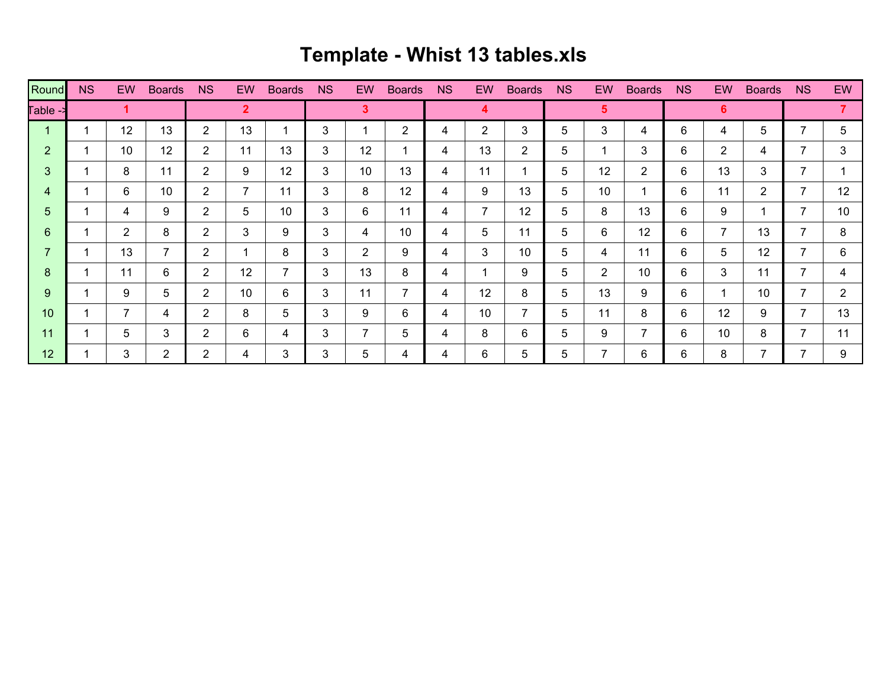## **Template - Whist 13 tables.xls**

| Round          | <b>NS</b> | <b>EW</b>      | <b>Boards</b>  | <b>NS</b>      | <b>EW</b>   | <b>Boards</b>  | <b>NS</b> | <b>EW</b>      | <b>Boards</b>  | <b>NS</b> | EW             | <b>Boards</b>  | <b>NS</b> | <b>EW</b>      | <b>Boards</b>  | <b>NS</b> | EW.            | <b>Boards</b>            | <b>NS</b> | EW             |
|----------------|-----------|----------------|----------------|----------------|-------------|----------------|-----------|----------------|----------------|-----------|----------------|----------------|-----------|----------------|----------------|-----------|----------------|--------------------------|-----------|----------------|
| Fable ->       |           |                |                |                | $\mathbf 2$ |                |           | 3              |                |           | 4              |                |           | $5^{\circ}$    |                |           | 6              |                          |           |                |
|                |           | 12             | 13             | $\overline{2}$ | 13          |                | 3         | 1              | $\overline{2}$ | 4         | $\overline{2}$ | 3              | 5         | 3              | 4              | 6         | 4              | 5                        | ⇁         | 5              |
| $\overline{2}$ |           | 10             | 12             | $\overline{2}$ | 11          | 13             | 3         | 12             |                | 4         | 13             | $\overline{2}$ | 5         | 1              | 3              | 6         | $\overline{2}$ | 4                        | ⇁         | 3              |
| 3              |           | 8              | 11             | $\overline{2}$ | 9           | 12             | 3         | 10             | 13             | 4         | 11             | -1             | 5         | 12             | $\overline{2}$ | 6         | 13             | 3                        | ⇁         |                |
| 4              |           | 6              | 10             | $\overline{2}$ | 7           | 11             | 3         | 8              | 12             | 4         | 9              | 13             | 5         | 10             |                | 6         | 11             | $\overline{2}$           | ⇁         | 12             |
| 5              |           | 4              | 9              | $\overline{2}$ | 5           | 10             | 3         | 6              | 11             | 4         | 7              | 12             | 5         | 8              | 13             | 6         | 9              |                          | ⇁         | 10             |
| 6              |           | $\overline{2}$ | 8              | $\overline{2}$ | 3           | 9              | 3         | 4              | 10             | 4         | 5              | 11             | 5         | 6              | 12             | 6         | $\overline{7}$ | 13                       | 7         | 8              |
| 7              |           | 13             | $\overline{7}$ | $\overline{2}$ |             | 8              | 3         | 2              | 9              | 4         | 3              | 10             | 5         | 4              | 11             | 6         | 5              | 12                       | ⇁         | 6              |
| 8              |           | 11             | 6              | $\overline{2}$ | 12          | $\overline{7}$ | 3         | 13             | 8              | 4         |                | 9              | 5         | 2              | 10             | 6         | 3              | 11                       | 7         | 4              |
| 9              |           | 9              | 5              | $\overline{2}$ | 10          | 6              | 3         | 11             | 7              | 4         | 12             | 8              | 5         | 13             | 9              | 6         | и              | 10                       | 7         | $\overline{2}$ |
| 10             |           |                | 4              | $\overline{2}$ | 8           | 5              | 3         | 9              | 6              | 4         | 10             | $\overline{7}$ | 5         | 11             | 8              | 6         | 12             | 9                        | ⇁         | 13             |
| 11             |           | 5              | 3              | $\overline{2}$ | 6           | 4              | 3         | $\overline{7}$ | 5              | 4         | 8              | 6              | 5         | 9              | 7              | 6         | 10             | 8                        | 7         | 11             |
| 12             |           | 3              | $\overline{2}$ | $\overline{2}$ | 4           | 3              | 3         | 5              | 4              | 4         | 6              | 5              | 5         | $\overline{7}$ | 6              | 6         | 8              | $\overline{\phantom{a}}$ |           | 9              |